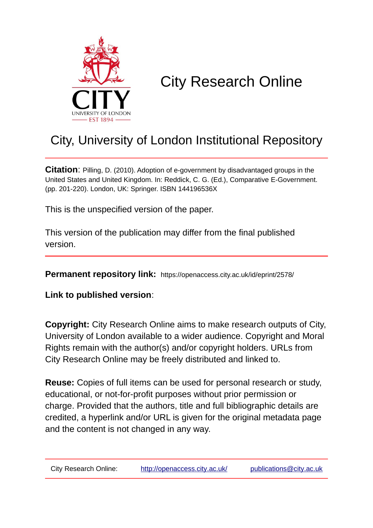

# City Research Online

# City, University of London Institutional Repository

**Citation**: Pilling, D. (2010). Adoption of e-government by disadvantaged groups in the United States and United Kingdom. In: Reddick, C. G. (Ed.), Comparative E-Government. (pp. 201-220). London, UK: Springer. ISBN 144196536X

This is the unspecified version of the paper.

This version of the publication may differ from the final published version.

**Permanent repository link:** https://openaccess.city.ac.uk/id/eprint/2578/

**Link to published version**:

**Copyright:** City Research Online aims to make research outputs of City, University of London available to a wider audience. Copyright and Moral Rights remain with the author(s) and/or copyright holders. URLs from City Research Online may be freely distributed and linked to.

**Reuse:** Copies of full items can be used for personal research or study, educational, or not-for-profit purposes without prior permission or charge. Provided that the authors, title and full bibliographic details are credited, a hyperlink and/or URL is given for the original metadata page and the content is not changed in any way.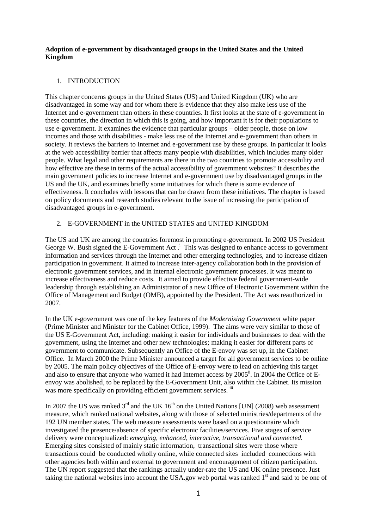#### **Adoption of e-government by disadvantaged groups in the United States and the United Kingdom**

#### 1. INTRODUCTION

This chapter concerns groups in the United States (US) and United Kingdom (UK) who are disadvantaged in some way and for whom there is evidence that they also make less use of the Internet and e-government than others in these countries. It first looks at the state of e-government in these countries, the direction in which this is going, and how important it is for their populations to use e-government. It examines the evidence that particular groups – older people, those on low incomes and those with disabilities - make less use of the Internet and e-government than others in society. It reviews the barriers to Internet and e-government use by these groups. In particular it looks at the web accessibility barrier that affects many people with disabilities, which includes many older people. What legal and other requirements are there in the two countries to promote accessibility and how effective are these in terms of the actual accessibility of government websites? It describes the main government policies to increase Internet and e-government use by disadvantaged groups in the US and the UK, and examines briefly some initiatives for which there is some evidence of effectiveness. It concludes with lessons that can be drawn from these initiatives. The chapter is based on policy documents and research studies relevant to the issue of increasing the participation of disadvantaged groups in e-government.

# 2. E-GOVERNMENT in the UNITED STATES and UNITED KINGDOM

The US and UK are among the countries foremost in promoting e-government. In 2002 US President George W. Bush signed the E-Government Act.<sup>1</sup> This was designed to enhance access to government information and services through the Internet and other emerging technologies, and to increase citizen participation in government. It aimed to increase inter-agency collaboration both in the provision of electronic government services, and in internal electronic government processes. It was meant to increase effectiveness and reduce costs. It aimed to provide effective federal government-wide leadership through establishing an Administrator of a new Office of Electronic Government within the Office of Management and Budget (OMB), appointed by the President. The Act was reauthorized in 2007.

In the UK e-government was one of the key features of the *Modernising Government* white paper (Prime Minister and Minister for the Cabinet Office, 1999). The aims were very similar to those of the US E-Government Act, including: making it easier for individuals and businesses to deal with the government, using the Internet and other new technologies; making it easier for different parts of government to communicate. Subsequently an Office of the E-envoy was set up, in the Cabinet Office. In March 2000 the Prime Minister announced a target for all government services to be online by 2005. The main policy objectives of the Office of E-envoy were to lead on achieving this target and also to ensure that anyone who wanted it had Internet access by 2005<sup>ii</sup>. In 2004 the Office of Eenvoy was abolished, to be replaced by the E-Government Unit, also within the Cabinet. Its mission was more specifically on providing efficient government services. iii

In 2007 the US was ranked  $3<sup>rd</sup>$  and the UK  $16<sup>th</sup>$  on the United Nations [UN] (2008) web assessment measure, which ranked national websites, along with those of selected ministries/departments of the 192 UN member states. The web measure assessments were based on a questionnaire which investigated the presence/absence of specific electronic facilities/services. Five stages of service delivery were conceptualized: *emerging, enhanced, interactive, transactional and connected.*  Emerging sites consisted of mainly static information, transactional sites were those where transactions could be conducted wholly online, while connected sites included connections with other agencies both within and external to government and encouragement of citizen participation. The UN report suggested that the rankings actually under-rate the US and UK online presence. Just taking the national websites into account the USA.gov web portal was ranked 1<sup>st</sup> and said to be one of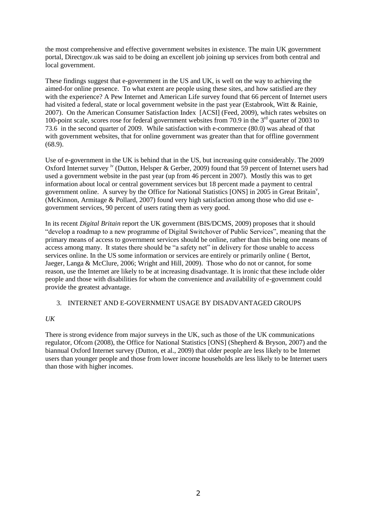the most comprehensive and effective government websites in existence. The main UK government portal, Directgov.uk was said to be doing an excellent job joining up services from both central and local government.

These findings suggest that e-government in the US and UK, is well on the way to achieving the aimed-for online presence. To what extent are people using these sites, and how satisfied are they with the experience? A Pew Internet and American Life survey found that 66 percent of Internet users had visited a federal, state or local government website in the past year (Estabrook, Witt & Rainie, 2007). On the American Consumer Satisfaction Index [ACSI] (Feed, 2009), which rates websites on 100-point scale, scores rose for federal government websites from 70.9 in the 3rd quarter of 2003 to 73.6 in the second quarter of 2009. While satisfaction with e-commerce (80.0) was ahead of that with government websites, that for online government was greater than that for offline government (68.9).

Use of e-government in the UK is behind that in the US, but increasing quite considerably. The 2009 Oxford Internet survey <sup>iv</sup> (Dutton, Helsper & Gerber, 2009) found that 59 percent of Internet users had used a government website in the past year (up from 46 percent in 2007). Mostly this was to get information about local or central government services but 18 percent made a payment to central government online. A survey by the Office for National Statistics [ONS] in  $2005$  in Great Britain<sup>v</sup>, (McKinnon, Armitage & Pollard, 2007) found very high satisfaction among those who did use egovernment services, 90 percent of users rating them as very good.

In its recent *Digital Britain* report the UK government (BIS/DCMS, 2009) proposes that it should "develop a roadmap to a new programme of Digital Switchover of Public Services", meaning that the primary means of access to government services should be online, rather than this being one means of access among many. It states there should be "a safety net" in delivery for those unable to access services online. In the US some information or services are entirely or primarily online ( Bertot, Jaeger, Langa & McClure, 2006; Wright and Hill, 2009). Those who do not or cannot, for some reason, use the Internet are likely to be at increasing disadvantage. It is ironic that these include older people and those with disabilities for whom the convenience and availability of e-government could provide the greatest advantage.

#### 3. INTERNET AND E-GOVERNMENT USAGE BY DISADVANTAGED GROUPS

#### *UK*

There is strong evidence from major surveys in the UK, such as those of the UK communications regulator, Ofcom (2008), the Office for National Statistics [ONS] (Shepherd & Bryson, 2007) and the biannual Oxford Internet survey (Dutton, et al., 2009) that older people are less likely to be Internet users than younger people and those from lower income households are less likely to be Internet users than those with higher incomes.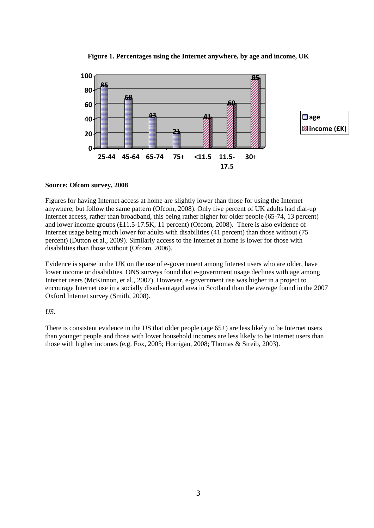

**Figure 1. Percentages using the Internet anywhere, by age and income, UK**

#### **Source: Ofcom survey, 2008**

Figures for having Internet access at home are slightly lower than those for using the Internet anywhere, but follow the same pattern (Ofcom, 2008). Only five percent of UK adults had dial-up Internet access, rather than broadband, this being rather higher for older people (65-74, 13 percent) and lower income groups (£11.5-17.5K, 11 percent) (Ofcom, 2008). There is also evidence of Internet usage being much lower for adults with disabilities (41 percent) than those without (75 percent) (Dutton et al., 2009). Similarly access to the Internet at home is lower for those with disabilities than those without (Ofcom, 2006).

Evidence is sparse in the UK on the use of e-government among Interest users who are older, have lower income or disabilities. ONS surveys found that e-government usage declines with age among Internet users (McKinnon, et al., 2007). However, e-government use was higher in a project to encourage Internet use in a socially disadvantaged area in Scotland than the average found in the 2007 Oxford Internet survey (Smith, 2008).

#### *US.*

There is consistent evidence in the US that older people (age 65+) are less likely to be Internet users than younger people and those with lower household incomes are less likely to be Internet users than those with higher incomes (e.g. Fox, 2005; Horrigan, 2008; Thomas & Streib, 2003).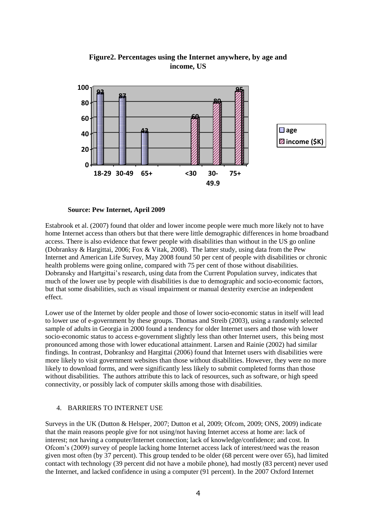

**Figure2. Percentages using the Internet anywhere, by age and income, US**

#### **Source: Pew Internet, April 2009**

Estabrook et al. (2007) found that older and lower income people were much more likely not to have home Internet access than others but that there were little demographic differences in home broadband access. There is also evidence that fewer people with disabilities than without in the US go online (Dobranksy & Hargittai, 2006; Fox & Vitak, 2008). The latter study, using data from the Pew Internet and American Life Survey, May 2008 found 50 per cent of people with disabilities or chronic health problems were going online, compared with 75 per cent of those without disabilities. Dobransky and Hartgittai's research, using data from the Current Population survey, indicates that much of the lower use by people with disabilities is due to demographic and socio-economic factors, but that some disabilities, such as visual impairment or manual dexterity exercise an independent effect.

Lower use of the Internet by older people and those of lower socio-economic status in itself will lead to lower use of e-government by these groups. Thomas and Streib (2003), using a randomly selected sample of adults in Georgia in 2000 found a tendency for older Internet users and those with lower socio-economic status to access e-government slightly less than other Internet users, this being most pronounced among those with lower educational attainment. Larsen and Rainie (2002) had similar findings. In contrast, Dobranksy and Hargittai (2006) found that Internet users with disabilities were more likely to visit government websites than those without disabilities. However, they were no more likely to download forms, and were significantly less likely to submit completed forms than those without disabilities. The authors attribute this to lack of resources, such as software, or high speed connectivity, or possibly lack of computer skills among those with disabilities.

#### 4. BARRIERS TO INTERNET USE

Surveys in the UK (Dutton & Helsper, 2007; Dutton et al, 2009; Ofcom, 2009; ONS, 2009) indicate that the main reasons people give for not using/not having Internet access at home are: lack of interest; not having a computer/Internet connection; lack of knowledge/confidence; and cost. In Ofcom's (2009) survey of people lacking home Internet access lack of interest/need was the reason given most often (by 37 percent). This group tended to be older (68 percent were over 65), had limited contact with technology (39 percent did not have a mobile phone), had mostly (83 percent) never used the Internet, and lacked confidence in using a computer (91 percent). In the 2007 Oxford Internet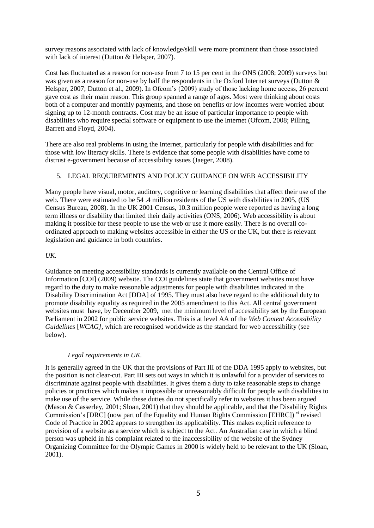survey reasons associated with lack of knowledge/skill were more prominent than those associated with lack of interest (Dutton & Helsper, 2007).

Cost has fluctuated as a reason for non-use from 7 to 15 per cent in the ONS (2008; 2009) surveys but was given as a reason for non-use by half the respondents in the Oxford Internet surveys (Dutton & Helsper, 2007; Dutton et al., 2009). In Ofcom's (2009) study of those lacking home access, 26 percent gave cost as their main reason. This group spanned a range of ages. Most were thinking about costs both of a computer and monthly payments, and those on benefits or low incomes were worried about signing up to 12-month contracts. Cost may be an issue of particular importance to people with disabilities who require special software or equipment to use the Internet (Ofcom, 2008; Pilling, Barrett and Floyd, 2004).

There are also real problems in using the Internet, particularly for people with disabilities and for those with low literacy skills. There is evidence that some people with disabilities have come to distrust e-government because of accessibility issues (Jaeger, 2008).

# 5. LEGAL REQUIREMENTS AND POLICY GUIDANCE ON WEB ACCESSIBILITY

Many people have visual, motor, auditory, cognitive or learning disabilities that affect their use of the web. There were estimated to be 54.4 million residents of the US with disabilities in 2005, (US Census Bureau, 2008). In the UK 2001 Census, 10.3 million people were reported as having a long term illness or disability that limited their daily activities (ONS, 2006). Web accessibility is about making it possible for these people to use the web or use it more easily. There is no overall coordinated approach to making websites accessible in either the US or the UK, but there is relevant legislation and guidance in both countries.

#### *UK.*

Guidance on meeting accessibility standards is currently available on the Central Office of Information [COI] (2009) website. The COI guidelines state that government websites must have regard to the duty to make reasonable adjustments for people with disabilities indicated in the Disability Discrimination Act [DDA] of 1995. They must also have regard to the additional duty to promote disability equality as required in the 2005 amendment to this Act. All central government websites must have, by December 2009, met the minimum level of accessibility set by the European Parliament in 2002 for public service websites. This is at level AA of the *Web Content Accessibility Guidelines* [*WCAG*], which are recognised worldwide as the standard for web accessibility (see below).

# *Legal requirements in UK.*

It is generally agreed in the UK that the provisions of Part III of the DDA 1995 apply to websites, but the position is not clear-cut. Part III sets out ways in which it is unlawful for a provider of services to discriminate against people with disabilities. It gives them a duty to take reasonable steps to change policies or practices which makes it impossible or unreasonably difficult for people with disabilities to make use of the service. While these duties do not specifically refer to websites it has been argued (Mason & Casserley, 2001; Sloan, 2001) that they should be applicable, and that the Disability Rights Commission's [DRC] (now part of the Equality and Human Rights Commission [EHRC]) vi revised Code of Practice in 2002 appears to strengthen its applicability. This makes explicit reference to provision of a website as a service which is subject to the Act. An Australian case in which a blind person was upheld in his complaint related to the inaccessibility of the website of the Sydney Organizing Committee for the Olympic Games in 2000 is widely held to be relevant to the UK (Sloan, 2001).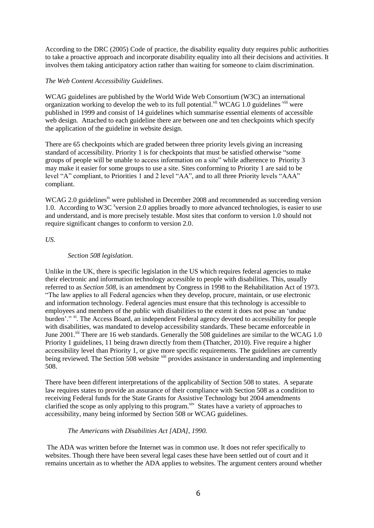According to the DRC (2005) Code of practice, the disability equality duty requires public authorities to take a proactive approach and incorporate disability equality into all their decisions and activities. It involves them taking anticipatory action rather than waiting for someone to claim discrimination.

#### *The Web Content Accessibility Guidelines.*

WCAG guidelines are published by the World Wide Web Consortium (W3C) an international organization working to develop the web to its full potential.<sup> $vi$ </sup> WCAG 1.0 guidelines  $viii$  were published in 1999 and consist of 14 guidelines which summarise essential elements of accessible web design. Attached to each guideline there are between one and ten checkpoints which specify the application of the guideline in website design.

There are 65 checkpoints which are graded between three priority levels giving an increasing standard of accessibility. Priority 1 is for checkpoints that must be satisfied otherwise "some groups of people will be unable to access information on a site" while adherence to Priority 3 may make it easier for some groups to use a site. Sites conforming to Priority 1 are said to be level "A" compliant, to Priorities 1 and 2 level "AA", and to all three Priority levels "AAA" compliant.

WCAG 2.0 guidelines<sup>ix</sup> were published in December 2008 and recommended as succeeding version 1.0. According to W3C<sup>x</sup> version 2.0 applies broadly to more advanced technologies, is easier to use and understand, and is more precisely testable. Most sites that conform to version 1.0 should not require significant changes to conform to version 2.0.

*US.* 

#### *Section 508 legislation*.

Unlike in the UK*,* there is specific legislation in the US which requires federal agencies to make their electronic and information technology accessible to people with disabilities. This, usually referred to as *Section 508*, is an amendment by Congress in 1998 to the Rehabilitation Act of 1973. "The law applies to all Federal agencies when they develop, procure, maintain, or use electronic and information technology. Federal agencies must ensure that this technology is accessible to employees and members of the public with disabilities to the extent it does not pose an 'undue burden'." <sup>xi</sup>. The Access Board, an independent Federal agency devoted to accessibility for people with disabilities, was mandated to develop accessibility standards. These became enforceable in June 2001.<sup>xii</sup> There are 16 web standards. Generally the 508 guidelines are similar to the WCAG 1.0 Priority 1 guidelines, 11 being drawn directly from them (Thatcher, 2010). Five require a higher accessibility level than Priority 1, or give more specific requirements. The guidelines are currently being reviewed. The Section 508 website <sup>xiii</sup> provides assistance in understanding and implementing 508.

There have been different interpretations of the applicability of Section 508 to states. A separate law requires states to provide an assurance of their compliance with Section 508 as a condition to receiving Federal funds for the State Grants for Assistive Technology but 2004 amendments clarified the scope as only applying to this program.<sup>xiv</sup> States have a variety of approaches to accessibility, many being informed by Section 508 or WCAG guidelines.

#### *The Americans with Disabilities Act [ADA], 1990.*

The ADA was written before the Internet was in common use. It does not refer specifically to websites. Though there have been several legal cases these have been settled out of court and it remains uncertain as to whether the ADA applies to websites. The argument centers around whether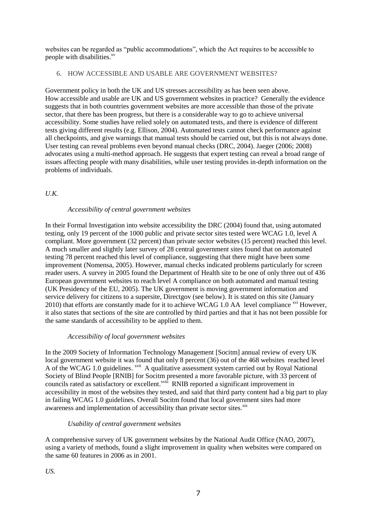websites can be regarded as "public accommodations", which the Act requires to be accessible to people with disabilities.<sup>xv</sup>

#### 6. HOW ACCESSIBLE AND USABLE ARE GOVERNMENT WEBSITES?

Government policy in both the UK and US stresses accessibility as has been seen above. How accessible and usable are UK and US government websites in practice? Generally the evidence suggests that in both countries government websites are more accessible than those of the private sector, that there has been progress, but there is a considerable way to go to achieve universal accessibility. Some studies have relied solely on automated tests, and there is evidence of different tests giving different results (e.g. Ellison, 2004). Automated tests cannot check performance against all checkpoints, and give warnings that manual tests should be carried out, but this is not always done. User testing can reveal problems even beyond manual checks (DRC, 2004). Jaeger (2006; 2008) advocates using a multi-method approach. He suggests that expert testing can reveal a broad range of issues affecting people with many disabilities, while user testing provides in-depth information on the problems of individuals.

# *U.K.*

# *Accessibility of central government websites*

In their Formal Investigation into website accessibility the DRC (2004) found that, using automated testing, only 19 percent of the 1000 public and private sector sites tested were WCAG 1.0, level A compliant. More government (32 percent) than private sector websites (15 percent) reached this level. A much smaller and slightly later survey of 28 central government sites found that on automated testing 78 percent reached this level of compliance, suggesting that there might have been some improvement (Nomensa, 2005). However, manual checks indicated problems particularly for screen reader users. A survey in 2005 found the Department of Health site to be one of only three out of 436 European government websites to reach level A compliance on both automated and manual testing (UK Presidency of the EU, 2005). The UK government is moving government information and service delivery for citizens to a supersite, Directgov (see below). It is stated on this site (January 2010) that efforts are constantly made for it to achieve WCAG 1.0 AA level compliance  $^{xvi}$  However, it also states that sections of the site are controlled by third parties and that it has not been possible for the same standards of accessibility to be applied to them.

#### *Accessibility of local government websites*

In the 2009 Society of Information Technology Management [Socitm] annual review of every UK local government website it was found that only 8 percent (36) out of the 468 websites reached level A of the WCAG 1.0 guidelines. <sup>xvii</sup> A qualitative assessment system carried out by Royal National Society of Blind People [RNIB] for Socitm presented a more favorable picture, with 33 percent of councils rated as satisfactory or excellent.<sup>xviii</sup> RNIB reported a significant improvement in accessibility in most of the websites they tested, and said that third party content had a big part to play in failing WCAG 1.0 guidelines. Overall Socitm found that local government sites had more awareness and implementation of accessibility than private sector sites.<sup>xix</sup>

#### *Usability of central government websites*

A comprehensive survey of UK government websites by the National Audit Office (NAO, 2007), using a variety of methods, found a slight improvement in quality when websites were compared on the same 60 features in 2006 as in 2001.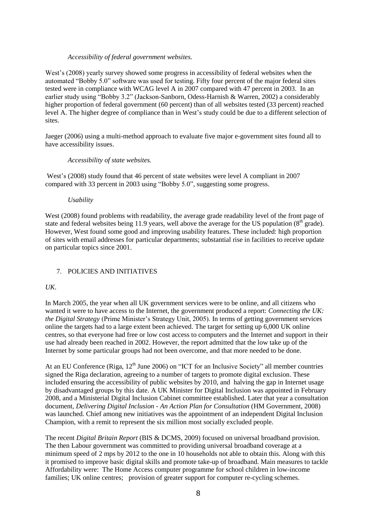#### *Accessibility of federal government websites.*

West's (2008) yearly survey showed some progress in accessibility of federal websites when the automated "Bobby 5.0" software was used for testing. Fifty four percent of the major federal sites tested were in compliance with WCAG level A in 2007 compared with 47 percent in 2003. In an earlier study using "Bobby 3.2" (Jackson-Sanborn, Odess-Harnish & Warren, 2002) a considerably higher proportion of federal government (60 percent) than of all websites tested (33 percent) reached level A. The higher degree of compliance than in West's study could be due to a different selection of sites.

Jaeger (2006) using a multi-method approach to evaluate five major e-government sites found all to have accessibility issues.

#### *Accessibility of state websites.*

West's (2008) study found that 46 percent of state websites were level A compliant in 2007 compared with 33 percent in 2003 using "Bobby 5.0", suggesting some progress.

#### *Usability*

West (2008) found problems with readability, the average grade readability level of the front page of state and federal websites being 11.9 years, well above the average for the US population  $(8<sup>th</sup> \text{ grade})$ . However, West found some good and improving usability features. These included: high proportion of sites with email addresses for particular departments; substantial rise in facilities to receive update on particular topics since 2001.

#### 7. POLICIES AND INITIATIVES

#### *UK*.

In March 2005, the year when all UK government services were to be online, and all citizens who wanted it were to have access to the Internet, the government produced a report: *Connecting the UK: the Digital Strategy* (Prime Minister's Strategy Unit, 2005). In terms of getting government services online the targets had to a large extent been achieved. The target for setting up 6,000 UK online centres, so that everyone had free or low cost access to computers and the Internet and support in their use had already been reached in 2002. However, the report admitted that the low take up of the Internet by some particular groups had not been overcome, and that more needed to be done.

At an EU Conference (Riga,  $12<sup>th</sup>$  June 2006) on "ICT for an Inclusive Society" all member countries signed the Riga declaration, agreeing to a number of targets to promote digital exclusion. These included ensuring the accessibility of public websites by 2010, and halving the gap in Internet usage by disadvantaged groups by this date. A UK Minister for Digital Inclusion was appointed in February 2008, and a Ministerial Digital Inclusion Cabinet committee established. Later that year a consultation document, *Delivering Digital Inclusion - An Action Plan for Consultation* (HM Government, 2008) was launched*.* Chief among new initiatives was the appointment of an independent Digital Inclusion Champion, with a remit to represent the six million most socially excluded people.

The recent *Digital Britain Report* (BIS & DCMS, 2009) focused on universal broadband provision. The then Labour government was committed to providing universal broadband coverage at a minimum speed of 2 mps by 2012 to the one in 10 households not able to obtain this. Along with this it promised to improve basic digital skills and promote take-up of broadband. Main measures to tackle Affordability were: The Home Access computer programme for school children in low-income families; UK online centres; provision of greater support for computer re-cycling schemes.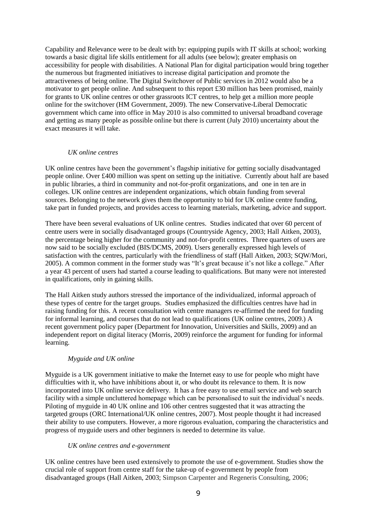Capability and Relevance were to be dealt with by: equipping pupils with IT skills at school; working towards a basic digital life skills entitlement for all adults (see below); greater emphasis on accessibility for people with disabilities. A National Plan for digital participation would bring together the numerous but fragmented initiatives to increase digital participation and promote the attractiveness of being online. The Digital Switchover of Public services in 2012 would also be a motivator to get people online. And subsequent to this report £30 million has been promised, mainly for grants to UK online centres or other grassroots ICT centres, to help get a million more people online for the switchover (HM Government, 2009). The new Conservative-Liberal Democratic government which came into office in May 2010 is also committed to universal broadband coverage and getting as many people as possible online but there is current (July 2010) uncertainty about the exact measures it will take.

# *UK online centres*

UK online centres have been the government's flagship initiative for getting socially disadvantaged people online. Over £400 million was spent on setting up the initiative. Currently about half are based in public libraries, a third in community and not-for-profit organizations, and one in ten are in colleges. UK online centres are independent organizations, which obtain funding from several sources. Belonging to the network gives them the opportunity to bid for UK online centre funding, take part in funded projects, and provides access to learning materials, marketing, advice and support.

There have been several evaluations of UK online centres. Studies indicated that over 60 percent of centre users were in socially disadvantaged groups (Countryside Agency, 2003; Hall Aitken, 2003), the percentage being higher for the community and not-for-profit centres. Three quarters of users are now said to be socially excluded (BIS/DCMS, 2009). Users generally expressed high levels of satisfaction with the centres, particularly with the friendliness of staff (Hall Aitken, 2003; SQW/Mori, 2005). A common comment in the former study was "It's great because it's not like a college." After a year 43 percent of users had started a course leading to qualifications. But many were not interested in qualifications, only in gaining skills.

The Hall Aitken study authors stressed the importance of the individualized, informal approach of these types of centre for the target groups. Studies emphasized the difficulties centres have had in raising funding for this. A recent consultation with centre managers re-affirmed the need for funding for informal learning, and courses that do not lead to qualifications (UK online centres, 2009.) A recent government policy paper (Department for Innovation, Universities and Skills, 2009) and an independent report on digital literacy (Morris, 2009) reinforce the argument for funding for informal learning.

# *Myguide and UK online*

Myguide is a UK government initiative to make the Internet easy to use for people who might have difficulties with it, who have inhibitions about it, or who doubt its relevance to them. It is now incorporated into UK online service delivery. It has a free easy to use email service and web search facility with a simple uncluttered homepage which can be personalised to suit the individual's needs. Piloting of myguide in 40 UK online and 106 other centres suggested that it was attracting the targeted groups (ORC International/UK online centres, 2007). Most people thought it had increased their ability to use computers. However, a more rigorous evaluation, comparing the characteristics and progress of myguide users and other beginners is needed to determine its value.

#### *UK online centres and e-government*

UK online centres have been used extensively to promote the use of e-government. Studies show the crucial role of support from centre staff for the take-up of e-government by people from disadvantaged groups (Hall Aitken, 2003; Simpson Carpenter and Regeneris Consulting, 2006;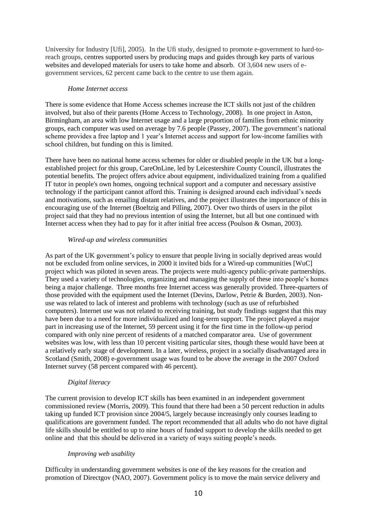University for Industry [Ufi], 2005). In the Ufi study, designed to promote e-government to hard-toreach groups, centres supported users by producing maps and guides through key parts of various websites and developed materials for users to take home and absorb. Of 3,604 new users of egovernment services, 62 percent came back to the centre to use them again.

#### *Home Internet access*

There is some evidence that Home Access schemes increase the ICT skills not just of the children involved, but also of their parents (Home Access to Technology, 2008). In one project in Aston, Birmingham, an area with low Internet usage and a large proportion of families from ethnic minority groups, each computer was used on average by 7.6 people (Passey, 2007). The government's national scheme provides a free laptop and 1 year's Internet access and support for low-income families with school children, but funding on this is limited.

There have been no national home access schemes for older or disabled people in the UK but a longestablished project for this group, CareOnLine, led by Leicestershire County Council, illustrates the potential benefits. The project offers advice about equipment, individualized training from a qualified IT tutor in people's own homes, ongoing technical support and a computer and necessary assistive technology if the participant cannot afford this. Training is designed around each individual's needs and motivations, such as emailing distant relatives, and the project illustrates the importance of this in encouraging use of the Internet (Boeltzig and Pilling, 2007). Over two thirds of users in the pilot project said that they had no previous intention of using the Internet, but all but one continued with Internet access when they had to pay for it after initial free access (Poulson & Osman, 2003).

#### *Wired-up and wireless communities*

As part of the UK government's policy to ensure that people living in socially deprived areas would not be excluded from online services, in 2000 it invited bids for a Wired-up communities [WuC] project which was piloted in seven areas. The projects were multi-agency public-private partnerships. They used a variety of technologies, organizing and managing the supply of these into people's homes being a major challenge. Three months free Internet access was generally provided. Three-quarters of those provided with the equipment used the Internet (Devins, Darlow, Petrie & Burden, 2003). Nonuse was related to lack of interest and problems with technology (such as use of refurbished computers). Internet use was not related to receiving training, but study findings suggest that this may have been due to a need for more individualized and long-term support. The project played a major part in increasing use of the Internet, 59 percent using it for the first time in the follow-up period compared with only nine percent of residents of a matched comparator area. Use of government websites was low, with less than 10 percent visiting particular sites, though these would have been at a relatively early stage of development. In a later, wireless, project in a socially disadvantaged area in Scotland (Smith, 2008) e-government usage was found to be above the average in the 2007 Oxford Internet survey (58 percent compared with 46 percent).

# *Digital literacy*

The current provision to develop ICT skills has been examined in an independent government commissioned review (Morris, 2009). This found that there had been a 50 percent reduction in adults taking up funded ICT provision since 2004/5, largely because increasingly only courses leading to qualifications are government funded. The report recommended that all adults who do not have digital life skills should be entitled to up to nine hours of funded support to develop the skills needed to get online and that this should be delivered in a variety of ways suiting people's needs.

#### *Improving web usability*

Difficulty in understanding government websites is one of the key reasons for the creation and promotion of Directgov (NAO, 2007). Government policy is to move the main service delivery and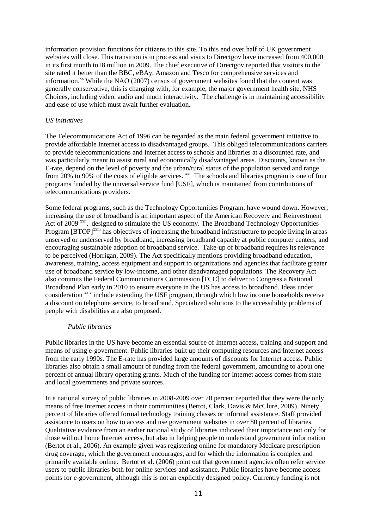information provision functions for citizens to this site. To this end over half of UK government websites will close. This transition is in process and visits to Directgov have increased from 400,000 in its first month to18 million in 2009. The chief executive of Directgov reported that visitors to the site rated it better than the BBC, eBAy, Amazon and Tesco for comprehensive services and information.<sup>xx</sup> While the NAO (2007) census of government websites found that the content was generally conservative, this is changing with, for example, the major government health site, NHS Choices, including video, audio and much interactivity. The challenge is in maintaining accessibility and ease of use which must await further evaluation.

#### *US initiatives*

The Telecommunications Act of 1996 can be regarded as the main federal government initiative to provide affordable Internet access to disadvantaged groups. This obliged telecommunications carriers to provide telecommunications and Internet access to schools and libraries at a discounted rate, and was particularly meant to assist rural and economically disadvantaged areas. Discounts, known as the E-rate, depend on the level of poverty and the urban/rural status of the population served and range from 20% to 90% of the costs of eligible services. <sup>xxi</sup> The schools and libraries program is one of four programs funded by the universal service fund [USF], which is maintained from contributions of telecommunications providers.

Some federal programs, such as the Technology Opportunities Program, have wound down. However, increasing the use of broadband is an important aspect of the American Recovery and Reinvestment Act of 2009<sup>xxii</sup>, designed to stimulate the US economy. The Broadband Technology Opportunities Program [BTOP]<sup>xxiii</sup> has objectives of increasing the broadband infrastructure to people living in areas unserved or underserved by broadband, increasing broadband capacity at public computer centers, and encouraging sustainable adoption of broadband service. Take-up of broadband requires its relevance to be perceived (Horrigan, 2009). The Act specifically mentions providing broadband education, awareness, training, access equipment and support to organizations and agencies that facilitate greater use of broadband service by low-income, and other disadvantaged populations. The Recovery Act also commits the Federal Communications Commission [FCC] to deliver to Congress a National Broadband Plan early in 2010 to ensure everyone in the US has access to broadband. Ideas under consideration <sup>xxiv</sup> include extending the USF program, through which low income households receive a discount on telephone service, to broadband. Specialized solutions to the accessibility problems of people with disabilities are also proposed.

#### *Public libraries*

Public libraries in the US have become an essential source of Internet access, training and support and means of using e-government. Public libraries built up their computing resources and Internet access from the early 1990s. The E-rate has provided large amounts of discounts for Internet access. Public libraries also obtain a small amount of funding from the federal government, amounting to about one percent of annual library operating grants. Much of the funding for Internet access comes from state and local governments and private sources.

In a national survey of public libraries in 2008-2009 over 70 percent reported that they were the only means of free Internet access in their communities (Bertot, Clark, Davis & McClure, 2009). Ninety percent of libraries offered formal technology training classes or informal assistance. Staff provided assistance to users on how to access and use government websites in over 80 percent of libraries. Qualitative evidence from an earlier national study of libraries indicated their importance not only for those without home Internet access, but also in helping people to understand government information (Bertot et al., 2006). An example given was registering online for mandatory Medicare prescription drug coverage, which the government encourages, and for which the information is complex and primarily available online. Bertot et al. (2006) point out that government agencies often refer service users to public libraries both for online services and assistance. Public libraries have become access points for e-government, although this is not an explicitly designed policy. Currently funding is not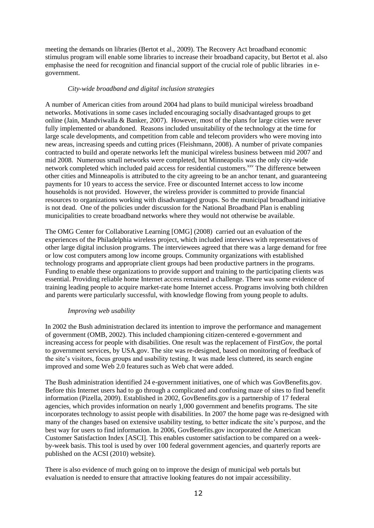meeting the demands on libraries (Bertot et al., 2009). The Recovery Act broadband economic stimulus program will enable some libraries to increase their broadband capacity, but Bertot et al. also emphasise the need for recognition and financial support of the crucial role of public libraries in egovernment.

#### *City-wide broadband and digital inclusion strategies*

A number of American cities from around 2004 had plans to build municipal wireless broadband networks. Motivations in some cases included encouraging socially disadvantaged groups to get online (Jain, Mandviwalla & Banker, 2007). However, most of the plans for large cities were never fully implemented or abandoned. Reasons included unsuitability of the technology at the time for large scale developments, and competition from cable and telecom providers who were moving into new areas, increasing speeds and cutting prices (Fleishmann, 2008). A number of private companies contracted to build and operate networks left the municipal wireless business between mid 2007 and mid 2008. Numerous small networks were completed, but Minneapolis was the only city-wide network completed which included paid access for residential customers.<sup>xxv</sup> The difference between other cities and Minneapolis is attributed to the city agreeing to be an anchor tenant, and guaranteeing payments for 10 years to access the service. Free or discounted Internet access to low income households is not provided. However, the wireless provider is committed to provide financial resources to organizations working with disadvantaged groups. So the municipal broadband initiative is not dead. One of the policies under discussion for the National Broadband Plan is enabling municipalities to create broadband networks where they would not otherwise be available.

The OMG Center for Collaborative Learning [OMG] (2008) carried out an evaluation of the experiences of the Philadelphia wireless project, which included interviews with representatives of other large digital inclusion programs. The interviewees agreed that there was a large demand for free or low cost computers among low income groups. Community organizations with established technology programs and appropriate client groups had been productive partners in the programs. Funding to enable these organizations to provide support and training to the participating clients was essential. Providing reliable home Internet access remained a challenge. There was some evidence of training leading people to acquire market-rate home Internet access. Programs involving both children and parents were particularly successful, with knowledge flowing from young people to adults.

#### *Improving web usability*

In 2002 the Bush administration declared its intention to improve the performance and management of government (OMB, 2002). This included championing citizen-centered e-government and increasing access for people with disabilities. One result was the replacement of FirstGov, the portal to government services, by USA.gov. The site was re-designed, based on monitoring of feedback of the site's visitors, focus groups and usability testing. It was made less cluttered, its search engine improved and some Web 2.0 features such as Web chat were added.

The Bush administration identified 24 e-government initiatives, one of which was GovBenefits.gov. Before this Internet users had to go through a complicated and confusing maze of sites to find benefit information (Pizella, 2009). Established in 2002, GovBenefits.gov is a partnership of 17 federal agencies, which provides information on nearly 1,000 government and benefits programs. The site incorporates technology to assist people with disabilities. In 2007 the home page was re-designed with many of the changes based on extensive usability testing, to better indicate the site's purpose, and the best way for users to find information. In 2006, GovBenefits.gov incorporated the American Customer Satisfaction Index [ASCI]. This enables customer satisfaction to be compared on a weekby-week basis. This tool is used by over 100 federal government agencies, and quarterly reports are published on the ACSI (2010) website).

There is also evidence of much going on to improve the design of municipal web portals but evaluation is needed to ensure that attractive looking features do not impair accessibility.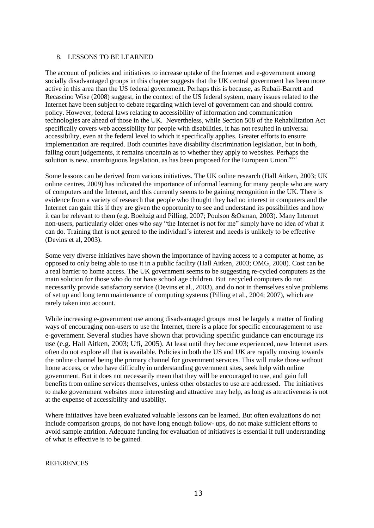#### 8. LESSONS TO BE LEARNED

The account of policies and initiatives to increase uptake of the Internet and e-government among socially disadvantaged groups in this chapter suggests that the UK central government has been more active in this area than the US federal government. Perhaps this is because, as Rubaii-Barrett and Recascino Wise (2008) suggest, in the context of the US federal system, many issues related to the Internet have been subject to debate regarding which level of government can and should control policy. However, federal laws relating to accessibility of information and communication technologies are ahead of those in the UK. Nevertheless, while Section 508 of the Rehabilitation Act specifically covers web accessibility for people with disabilities, it has not resulted in universal accessibility, even at the federal level to which it specifically applies. Greater efforts to ensure implementation are required. Both countries have disability discrimination legislation, but in both, failing court judgements, it remains uncertain as to whether they apply to websites. Perhaps the solution is new, unambiguous legislation, as has been proposed for the European Union. $^{xxvi}$ 

Some lessons can be derived from various initiatives. The UK online research (Hall Aitken, 2003; UK online centres, 2009) has indicated the importance of informal learning for many people who are wary of computers and the Internet, and this currently seems to be gaining recognition in the UK. There is evidence from a variety of research that people who thought they had no interest in computers and the Internet can gain this if they are given the opportunity to see and understand its possibilities and how it can be relevant to them (e.g. Boeltzig and Pilling, 2007; Poulson &Osman, 2003). Many Internet non-users, particularly older ones who say "the Internet is not for me" simply have no idea of what it can do. Training that is not geared to the individual's interest and needs is unlikely to be effective (Devins et al, 2003).

Some very diverse initiatives have shown the importance of having access to a computer at home, as opposed to only being able to use it in a public facility (Hall Aitken, 2003; OMG, 2008). Cost can be a real barrier to home access. The UK government seems to be suggesting re-cycled computers as the main solution for those who do not have school age children. But recycled computers do not necessarily provide satisfactory service (Devins et al., 2003), and do not in themselves solve problems of set up and long term maintenance of computing systems (Pilling et al., 2004; 2007), which are rarely taken into account.

While increasing e-government use among disadvantaged groups must be largely a matter of finding ways of encouraging non-users to use the Internet, there is a place for specific encouragement to use e-government. Several studies have shown that providing specific guidance can encourage its use (e.g. Hall Aitken, 2003; Ufi, 2005). At least until they become experienced, new Internet users often do not explore all that is available. Policies in both the US and UK are rapidly moving towards the online channel being the primary channel for government services. This will make those without home access, or who have difficulty in understanding government sites, seek help with online government. But it does not necessarily mean that they will be encouraged to use, and gain full benefits from online services themselves, unless other obstacles to use are addressed. The initiatives to make government websites more interesting and attractive may help, as long as attractiveness is not at the expense of accessibility and usability.

Where initiatives have been evaluated valuable lessons can be learned. But often evaluations do not include comparison groups, do not have long enough follow- ups, do not make sufficient efforts to avoid sample attrition. Adequate funding for evaluation of initiatives is essential if full understanding of what is effective is to be gained.

#### **REFERENCES**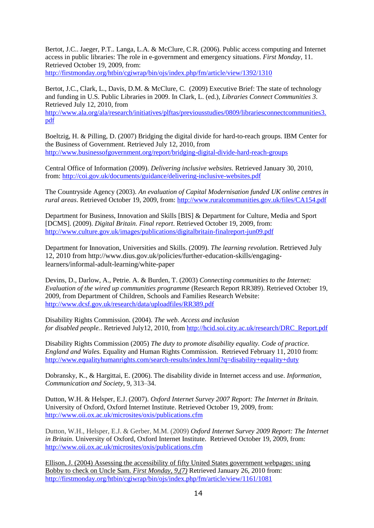Bertot, J.C.. Jaeger, P.T.. Langa, L.A. & McClure, C.R. (2006). Public access computing and Internet access in public libraries: The role in e-government and emergency situations. *First Monday*, 11. Retrieved October 19, 2009, from:

<http://firstmonday.org/htbin/cgiwrap/bin/ojs/index.php/fm/article/view/1392/1310>

Bertot, J.C., Clark, L., Davis, D.M. & McClure, C. (2009) Executive Brief: The state of technology and funding in U.S. Public Libraries in 2009. In Clark, L. (ed.), *Libraries Connect Communities 3*. Retrieved July 12, 2010, from [http://www.ala.org/ala/research/initiatives/plftas/previousstudies/0809/librariesconnectcommunities3.](http://www.ala.org/ala/research/initiatives/plftas/previousstudies/0809/librariesconnectcommunities3.pdf) [pdf](http://www.ala.org/ala/research/initiatives/plftas/previousstudies/0809/librariesconnectcommunities3.pdf)

Boeltzig, H. & Pilling, D. (2007) Bridging the digital divide for hard-to-reach groups. IBM Center for the Business of Government. Retrieved July 12, 2010, from <http://www.businessofgovernment.org/report/bridging-digital-divide-hard-reach-groups>

Central Office of Information (2009). *Delivering inclusive websites.* Retrieved January 30, 2010, from:<http://coi.gov.uk/documents/guidance/delivering-inclusive-websites.pdf>

The Countryside Agency (2003). *An evaluation of Capital Modernisation funded UK online centres in rural areas*. Retrieved October 19, 2009, from: <http://www.ruralcommunities.gov.uk/files/CA154.pdf>

Department for Business, Innovation and Skills [BIS] & Department for Culture, Media and Sport [DCMS]. (2009). *Digital Britain. Final report*. Retrieved October 19, 2009, from: <http://www.culture.gov.uk/images/publications/digitalbritain-finalreport-jun09.pdf>

Department for Innovation, Universities and Skills. (2009). *The learning revolution*. Retrieved July 12, 2010 from http://www.dius.gov.uk/policies/further-education-skills/engaginglearners/informal-adult-learning/white-paper

Devins, D., Darlow, A., Petrie. A. & Burden, T. (2003) *Connecting communities to the Internet: Evaluation of the wired up communities programme* (Research Report RR389). Retrieved October 19, 2009, from Department of Children, Schools and Families Research Website: <http://www.dcsf.gov.uk/research/data/uploadfiles/RR389.pdf>

Disability Rights Commission. (2004). *The web. Access and inclusion for disabled people.*. Retrieved July12, 2010, from [http://hcid.soi.city.ac.uk/research/DRC\\_Report.pdf](http://hcid.soi.city.ac.uk/research/DRC_Report.pdf)

Disability Rights Commission (2005) *The duty to promote disability equality. Code of practice. England and Wales.* Equality and Human Rights Commission. Retrieved February 11, 2010 from: <http://www.equalityhumanrights.com/search-results/index.html?q=disability+equality+duty>

Dobransky, K., & Hargittai, E. (2006). The disability divide in Internet access and use. *Information, Communication and Society*, 9, 313–34.

Dutton, W.H. & Helsper, E.J. (2007). *Oxford Internet Survey 2007 Report: The Internet in Britain.* University of Oxford, Oxford Internet Institute. Retrieved October 19, 2009, from: <http://www.oii.ox.ac.uk/microsites/oxis/publications.cfm>

Dutton, W.H., Helsper, E.J. & Gerber, M.M. (2009) *[Oxford Internet Survey 2009 Report: The](http://www.oii.ox.ac.uk/research/oxis/OxIS2009_Report.pdf) Internet [in Britain](http://www.oii.ox.ac.uk/research/oxis/OxIS2009_Report.pdf)*. University of Oxford, Oxford Internet Institute. Retrieved October 19, 2009, from: <http://www.oii.ox.ac.uk/microsites/oxis/publications.cfm>

Ellison, J. (2004) Assessing the accessibility of fifty United States government webpages: using Bobby to check on Uncle Sam. *First Monday, 9,(7)* Retrieved January 26, 2010 from: <http://firstmonday.org/htbin/cgiwrap/bin/ojs/index.php/fm/article/view/1161/1081>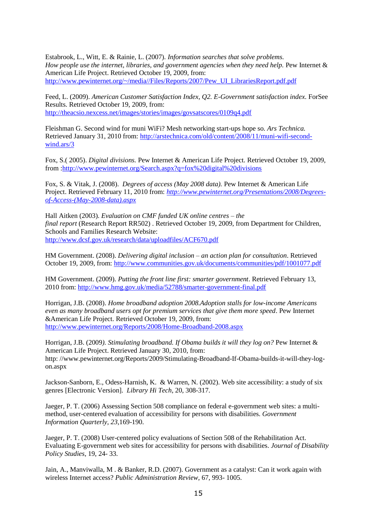Estabrook, L., Witt, E. & Rainie, L. (2007). *Information searches that solve problems. How people use the internet, libraries, and government agencies when they need help.* Pew Internet & American Life Project. Retrieved October 19, 2009, from: [http://www.pewinternet.org/~/media//Files/Reports/2007/Pew\\_UI\\_LibrariesReport.pdf.pdf](http://www.pewinternet.org/~/media/Files/Reports/2007/Pew_UI_LibrariesReport.pdf.pdf)

Feed, L. (2009). *American Customer Satisfaction Index, Q2. E-Government satisfaction index*. ForSee Results. Retrieved October 19, 2009, from: <http://theacsio.nexcess.net/images/stories/images/govsatscores/0109q4.pdf>

Fleishman G. Second wind for muni WiFi? Mesh networking start-ups hope so. *Ars Technica.*  Retrieved January 31, 2010 from: [http://arstechnica.com/old/content/2008/11/muni-wifi-second](http://arstechnica.com/old/content/2008/11/muni-wifi-second-wind.ars/3)[wind.ars/3](http://arstechnica.com/old/content/2008/11/muni-wifi-second-wind.ars/3)

Fox, S.( 2005). *Digital divisions.* Pew Internet & American Life Project*.* Retrieved October 19, 2009, from [:http://www.pewinternet.org/Search.aspx?q=fox%20digital%20divisions](http://www.pewinternet.org/Search.aspx?q=fox%20digital%20divisions)

Fox, S. & Vitak, J. (2008). *Degrees of access (May 2008 data).* Pew Internet & American Life Project. Retrieved February 11, 2010 from: *[http://www.pewinternet.org/Presentations/2008/Degrees](http://www.pewinternet.org/Presentations/2008/Degrees-of-Access-(May-2008-data).aspx)[of-Access-\(May-2008-data\).aspx](http://www.pewinternet.org/Presentations/2008/Degrees-of-Access-(May-2008-data).aspx)*

Hall Aitken (2003). *Evaluation on CMF funded UK online centres – the final report* (Research Report RR502) . Retrieved October 19, 2009, from Department for Children, Schools and Families Research Website: <http://www.dcsf.gov.uk/research/data/uploadfiles/ACF670.pdf>

HM Government. (2008). *Delivering digital inclusion – an action plan for consultation*. Retrieved October 19, 2009, from:<http://www.communities.gov.uk/documents/communities/pdf/1001077.pdf>

HM Government. (2009). *Putting the front line first: smarter government*. Retrieved February 13, 2010 from:<http://www.hmg.gov.uk/media/52788/smarter-government-final.pdf>

Horrigan, J.B. (2008). *Home broadband adoption 2008.Adoption stalls for low-income Americans even as many broadband users opt for premium services that give them more speed*. Pew Internet &American Life Project. Retrieved October 19, 2009, from: <http://www.pewinternet.org/Reports/2008/Home-Broadband-2008.aspx>

Horrigan, J.B. (2009*). Stimulating broadband. If Obama builds it will they log on?* Pew Internet & American Life Project. Retrieved January 30, 2010, from: http: //www.pewinternet.org/Reports/2009/Stimulating-Broadband-If-Obama-builds-it-will-they-logon.aspx

Jackson-Sanborn, E., Odess-Harnish, K. & Warren, N. (2002). Web site accessibility: a study of six genres [Electronic Version]. *Library Hi Tech*, 20, 308-317.

Jaeger, P. T. (2006) Assessing Section 508 compliance on federal e-government web sites: a multimethod, user-centered evaluation of accessibility for persons with disabilities. *Government Information Quarterly, 23,*169-190.

Jaeger, P. T. (2008) User-centered policy evaluations of Section 508 of the Rehabilitation Act. Evaluating E-government web sites for accessibility for persons with disabilities. *Journal of Disability Policy Studies*, 19, 24- 33.

Jain, A., Manviwalla, M . & Banker, R.D. (2007). Government as a catalyst: Can it work again with wireless Internet access? *Public Administration Review,* 67*,* 993- 1005.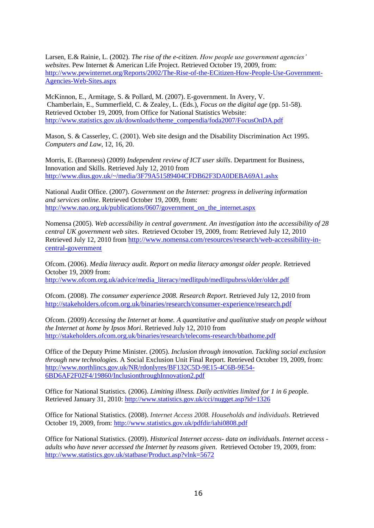Larsen, E.& Rainie, L. (2002). *The rise of the e-citizen. How people use government agencies' websites*. Pew Internet & American Life Project. Retrieved October 19, 2009, from: [http://www.pewinternet.org/Reports/2002/The-Rise-of-the-ECitizen-How-People-Use-Government-](http://www.pewinternet.org/Reports/2002/The-Rise-of-the-ECitizen-How-People-Use-Government-Agencies-Web-Sites.aspx)[Agencies-Web-Sites.aspx](http://www.pewinternet.org/Reports/2002/The-Rise-of-the-ECitizen-How-People-Use-Government-Agencies-Web-Sites.aspx)

McKinnon, E., Armitage, S. & Pollard, M. (2007). E-government. In Avery, V. Chamberlain, E., Summerfield, C. & Zealey, L. (Eds.), *Focus on the digital age* (pp. 51-58). Retrieved October 19, 2009, from Office for National Statistics Website: [http://www.statistics.gov.uk/downloads/theme\\_compendia/foda2007/FocusOnDA.pdf](http://www.statistics.gov.uk/downloads/theme_compendia/foda2007/FocusOnDA.pdf)

Mason, S. & Casserley, C. (2001). Web site design and the Disability Discrimination Act 1995. *Computers and Law*, 12, 16, 20.

Morris, E. (Baroness) (2009) *Independent review of ICT user skills*. Department for Business, Innovation and Skills. Retrieved July 12, 2010 from <http://www.dius.gov.uk/~/media/3F79A51589404CFDB62F3DA0DEBA69A1.ashx>

National Audit Office. (2007). *Government on the Internet: progress in delivering information and services online*. Retrieved October 19, 2009, from: http://www.nao.org.uk/publications/0607/government on the internet.aspx

Nomensa (2005). *Web accessibility in central government. An investigation into the accessibility of 28 central UK government web sites*. Retrieved October 19, 2009, from: Retrieved July 12, 2010 Retrieved July 12, 2010 from [http://www.nomensa.com/resources/research/web-accessibility-in](http://www.nomensa.com/resources/research/web-accessibility-in-central-government)[central-government](http://www.nomensa.com/resources/research/web-accessibility-in-central-government)

Ofcom. (2006). *Media literacy audit. Report on media literacy amongst older people.* Retrieved October 19, 2009 from: [http://www.ofcom.org.uk/advice/media\\_literacy/medlitpub/medlitpubrss/older/older.pdf](http://www.ofcom.org.uk/advice/media_literacy/medlitpub/medlitpubrss/older/older.pdf)

Ofcom. (2008). *The consumer experience 2008. Research Report*. Retrieved July 12, 2010 from <http://stakeholders.ofcom.org.uk/binaries/research/consumer-experience/research.pdf>

Ofcom. (2009) *Accessing the Internet at home. A quantitative and qualitative study on people without the Internet at home by Ipsos Mori*. Retrieved July 12, 2010 from <http://stakeholders.ofcom.org.uk/binaries/research/telecoms-research/bbathome.pdf>

Office of the Deputy Prime Minister. (2005). *Inclusion through innovation. Tackling social exclusion through new technologies.* A Social Exclusion Unit Final Report. Retrieved October 19, 2009, from: [http://www.northlincs.gov.uk/NR/rdonlyres/BF132C5D-9E15-4C6B-9E54-](http://www.northlincs.gov.uk/NR/rdonlyres/BF132C5D-9E15-4C6B-9E54-6BD6AF2F02F4/19860/InclusionthroughInnovation2.pdf) [6BD6AF2F02F4/19860/InclusionthroughInnovation2.pdf](http://www.northlincs.gov.uk/NR/rdonlyres/BF132C5D-9E15-4C6B-9E54-6BD6AF2F02F4/19860/InclusionthroughInnovation2.pdf)

Office for National Statistics*.* (2006). *Limiting illness. Daily activities limited for 1 in 6 peo*ple. Retrieved January 31, 2010: <http://www.statistics.gov.uk/cci/nugget.asp?id=1326>

Office for National Statistics. (2008). *Internet Access 2008. Households and individuals.* Retrieved October 19, 2009, from:<http://www.statistics.gov.uk/pdfdir/iahi0808.pdf>

Office for National Statistics. (2009). *Historical Internet access- data on individuals*. *Internet access adults who have never accessed the Internet by reasons given*. Retrieved October 19, 2009, from: <http://www.statistics.gov.uk/statbase/Product.asp?vlnk=5672>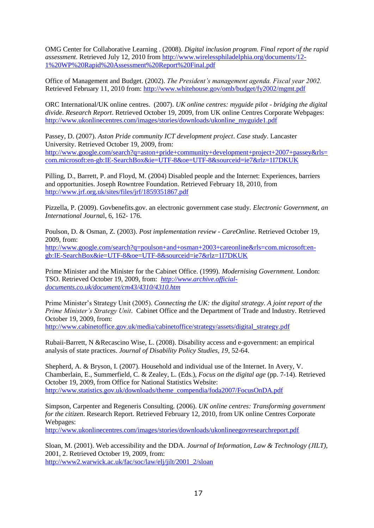OMG Center for Collaborative Learning . (2008). *Digital inclusion program. Final report of the rapid assessment.* Retrieved July 12, 2010 from [http://www.wirelessphiladelphia.org/documents/12-](http://www.wirelessphiladelphia.org/documents/12-1%20WP%20Rapid%20Assessment%20Report%20Final.pdf) [1%20WP%20Rapid%20Assessment%20Report%20Final.pdf](http://www.wirelessphiladelphia.org/documents/12-1%20WP%20Rapid%20Assessment%20Report%20Final.pdf)

Office of Management and Budget. (2002). *The President's management agenda. Fiscal year 2002.* Retrieved February 11, 2010 from:<http://www.whitehouse.gov/omb/budget/fy2002/mgmt.pdf>

ORC International/UK online centres. (2007). *UK online centres: myguide pilot - bridging the digital divide*. *Research Report*. Retrieved October 19, 2009, from UK online Centres Corporate Webpages: [http://www.ukonlinecentres.com/images/stories/downloads/ukonline\\_myguide1.pdf](http://www.ukonlinecentres.com/images/stories/downloads/ukonline_myguide1.pdf)

Passey, D. (2007). *Aston Pride community ICT development project*. *Case study*. Lancaster University. Retrieved October 19, 2009, from: [http://www.google.com/search?q=aston+pride+community+development+project+2007+passey&rls=](http://www.google.com/search?q=aston+pride+community+development+project+2007+passey&rls=com.microsoft:en-gb:IE-SearchBox&ie=UTF-8&oe=UTF-8&sourceid=ie7&rlz=1I7DKUK) [com.microsoft:en-gb:IE-SearchBox&ie=UTF-8&oe=UTF-8&sourceid=ie7&rlz=1I7DKUK](http://www.google.com/search?q=aston+pride+community+development+project+2007+passey&rls=com.microsoft:en-gb:IE-SearchBox&ie=UTF-8&oe=UTF-8&sourceid=ie7&rlz=1I7DKUK)

Pilling, D., Barrett, P. and Floyd, M. (2004) Disabled people and the Internet: Experiences, barriers and opportunities. Joseph Rowntree Foundation. Retrieved February 18, 2010, from <http://www.jrf.org.uk/sites/files/jrf/1859351867.pdf>

Pizzella, P. (2009). Govbenefits.gov. an electronic government case study. *Electronic Government, an International Journa*l, 6, 162- 176.

Poulson, D. & Osman, Z. (2003). *Post implementation review* - *CareOnline*. Retrieved October 19, 2009, from: [http://www.google.com/search?q=poulson+and+osman+2003+careonline&rls=com.microsoft:en](http://www.google.com/search?q=poulson+and+osman+2003+careonline&rls=com.microsoft:en-gb:IE-SearchBox&ie=UTF-8&oe=UTF-8&sourceid=ie7&rlz=1I7DKUK)[gb:IE-SearchBox&ie=UTF-8&oe=UTF-8&sourceid=ie7&rlz=1I7DKUK](http://www.google.com/search?q=poulson+and+osman+2003+careonline&rls=com.microsoft:en-gb:IE-SearchBox&ie=UTF-8&oe=UTF-8&sourceid=ie7&rlz=1I7DKUK)

Prime Minister and the Minister for the Cabinet Office. (1999). *Modernising Government.* London: TSO. Retrieved October 19, 2009, from: *[http://www.archive.official](http://www.archive.official-documents.co.uk/document/cm43/4310/4310.htm)[documents.co.uk/document/cm43/4310/4310.htm](http://www.archive.official-documents.co.uk/document/cm43/4310/4310.htm)*

Prime Minister's Strategy Unit (2005). *Connecting the UK: the digital strategy. A joint report of the Prime Minister's Strategy Unit*. Cabinet Office and the Department of Trade and Industry. Retrieved October 19, 2009, from:

[http://www.cabinetoffice.gov.uk/media/cabinetoffice/strategy/assets/digital\\_strategy.pdf](http://www.cabinetoffice.gov.uk/media/cabinetoffice/strategy/assets/digital_strategy.pdf)

Rubaii-Barrett, N &Recascino Wise, L. (2008). Disability access and e-government: an empirical analysis of state practices. *Journal of Disability Policy Studies, 19*, 52-64.

Shepherd, A. & Bryson, I. (2007). Household and individual use of the Internet. In Avery, V. Chamberlain, E., Summerfield, C. & Zealey, L. (Eds.), *Focus on the digital age* (pp. 7-14). Retrieved October 19, 2009, from Office for National Statistics Website: [http://www.statistics.gov.uk/downloads/theme\\_compendia/foda2007/FocusOnDA.pdf](http://www.statistics.gov.uk/downloads/theme_compendia/foda2007/FocusOnDA.pdf)

Simpson, Carpenter and Regeneris Consulting. (2006). *UK online centres: Transforming government for the citizen*. Research Report. Retrieved February 12, 2010, from UK online Centres Corporate Webpages:

<http://www.ukonlinecentres.com/images/stories/downloads/ukonlineegovresearchreport.pdf>

Sloan, M. (2001). Web accessibility and the DDA. *Journal of Information, Law & Technology (JILT)*, 2001, 2. Retrieved October 19, 2009, from: [http://www2.warwick.ac.uk/fac/soc/law/elj/jilt/2001\\_2/sloan](http://www2.warwick.ac.uk/fac/soc/law/elj/jilt/2001_2/sloan)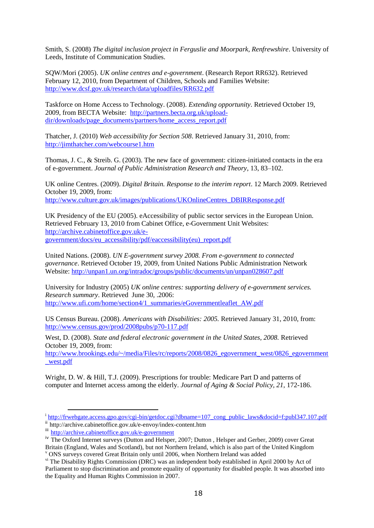Smith, S. (2008) *The digital inclusion project in Ferguslie and Moorpark, Renfrewshire*. University of Leeds, Institute of Communication Studies.

SQW/Mori (2005). *UK online centres and e-government*. (Research Report RR632). Retrieved February 12, 2010, from Department of Children, Schools and Families Website: <http://www.dcsf.gov.uk/research/data/uploadfiles/RR632.pdf>

Taskforce on Home Access to Technology. (2008). *Extending opportunity*. Retrieved October 19, 2009, from BECTA Website: [http://partners.becta.org.uk/upload](http://partners.becta.org.uk/upload-dir/downloads/page_documents/partners/home_access_report.pdf)[dir/downloads/page\\_documents/partners/home\\_access\\_report.pdf](http://partners.becta.org.uk/upload-dir/downloads/page_documents/partners/home_access_report.pdf)

Thatcher, J. (2010) *Web accessibility for Section 508*. Retrieved January 31, 2010, from: <http://jimthatcher.com/webcourse1.htm>

Thomas, J. C., & Streib. G. (2003). The new face of government: citizen-initiated contacts in the era of e-government. *Journal of Public Administration Research and Theory*, 13, 83–102.

UK online Centres. (2009). *Digital Britain. Response to the interim report*. 12 March 2009. Retrieved October 19, 2009, from: [http://www.culture.gov.uk/images/publications/UKOnlineCentres\\_DBIRResponse.pdf](http://www.culture.gov.uk/images/publications/UKOnlineCentres_DBIRResponse.pdf)

UK Presidency of the EU (2005). eAccessibility of public sector services in the European Union. Retrieved February 13, 2010 from Cabinet Office, e-Government Unit Websites: [http://archive.cabinetoffice.gov.uk/e](http://archive.cabinetoffice.gov.uk/e-government/docs/eu_accessibility/pdf/eaccessibility(eu)_report.pdf)[government/docs/eu\\_accessibility/pdf/eaccessibility\(eu\)\\_report.pdf](http://archive.cabinetoffice.gov.uk/e-government/docs/eu_accessibility/pdf/eaccessibility(eu)_report.pdf)

United Nations. (2008). *UN E-government survey 2008. From e-government to connected governance*. Retrieved October 19, 2009, from United Nations Public Administration Network Website:<http://unpan1.un.org/intradoc/groups/public/documents/un/unpan028607.pdf>

University for Industry (2005) *UK online centres: supporting delivery of e-government services. Research summary*. Retrieved June 30, .2006: [http://www.ufi.com/home/section4/1\\_summaries/eGovernmentleaflet\\_AW.pdf](http://www.ufi.com/home/section4/1_summaries/eGovernmentleaflet_AW.pdf)

US Census Bureau. (2008). *Americans with Disabilities: 2005.* Retrieved January 31, 2010, from: <http://www.census.gov/prod/2008pubs/p70-117.pdf>

West, D. (2008). *State and federal electronic government in the United States, 2008.* Retrieved October 19, 2009, from:

[http://www.brookings.edu/~/media/Files/rc/reports/2008/0826\\_egovernment\\_west/0826\\_egovernment](http://www.brookings.edu/~/media/Files/rc/reports/2008/0826_egovernment_west/0826_egovernment_west.pdf) [\\_west.pdf](http://www.brookings.edu/~/media/Files/rc/reports/2008/0826_egovernment_west/0826_egovernment_west.pdf)

Wright, D. W. & Hill, T.J. (2009). Prescriptions for trouble: Medicare Part D and patterns of computer and Internet access among the elderly. *Journal of Aging & Social Policy, 21,* 172-186.

i<br>[http://frwebgate.access.gpo.gov/cgi-bin/getdoc.cgi?dbname=107\\_cong\\_public\\_laws&docid=f:publ347.107.pdf](http://frwebgate.access.gpo.gov/cgi-bin/getdoc.cgi?dbname=107_cong_public_laws&docid=f:publ347.107.pdf)

ii http://archive.cabinetoffice.gov.uk/e-envoy/index-content.htm

iii <http://archive.cabinetoffice.gov.uk/e-government>

iv The Oxford Internet surveys (Dutton and Helsper, 2007; Dutton , Helsper and Gerber, 2009) cover Great Britain (England, Wales and Scotland), but not Northern Ireland, which is also part of the United Kingdom

<sup>v</sup> ONS surveys covered Great Britain only until 2006, when Northern Ireland was added

vi The Disability Rights Commission (DRC) was an independent body established in April 2000 by Act of Parliament to stop discrimination and promote equality of opportunity for disabled people. It was absorbed into the Equality and Human Rights Commission in 2007.